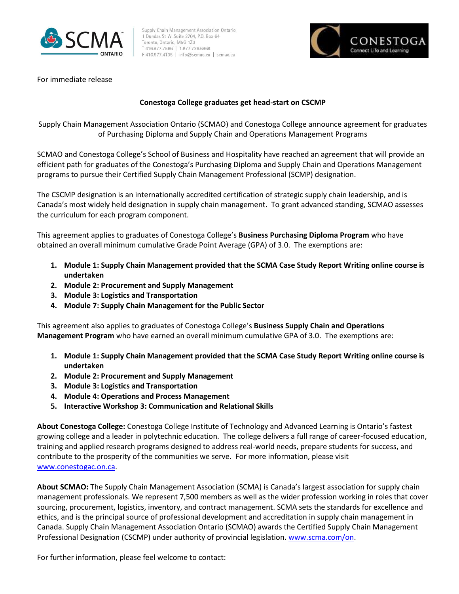

Supply Chain Management Association Ontario 1 Dundas St W, Suite 2704, P.O. Box 64 Toronto, Ontario, M5G 1Z3 T 416.977.7566 | 1.877.726.6968 F 416.977.4135 | info@scmao.ca | scmao.ca



For immediate release

## **Conestoga College graduates get head-start on CSCMP**

Supply Chain Management Association Ontario (SCMAO) and Conestoga College announce agreement for graduates of Purchasing Diploma and Supply Chain and Operations Management Programs

SCMAO and Conestoga College's School of Business and Hospitality have reached an agreement that will provide an efficient path for graduates of the Conestoga's Purchasing Diploma and Supply Chain and Operations Management programs to pursue their Certified Supply Chain Management Professional (SCMP) designation.

The CSCMP designation is an internationally accredited certification of strategic supply chain leadership, and is Canada's most widely held designation in supply chain management. To grant advanced standing, SCMAO assesses the curriculum for each program component.

This agreement applies to graduates of Conestoga College's **Business Purchasing Diploma Program** who have obtained an overall minimum cumulative Grade Point Average (GPA) of 3.0. The exemptions are:

- **1. Module 1: Supply Chain Management provided that the SCMA Case Study Report Writing online course is undertaken**
- **2. Module 2: Procurement and Supply Management**
- **3. Module 3: Logistics and Transportation**
- **4. Module 7: Supply Chain Management for the Public Sector**

This agreement also applies to graduates of Conestoga College's **Business Supply Chain and Operations Management Program** who have earned an overall minimum cumulative GPA of 3.0. The exemptions are:

- **1. Module 1: Supply Chain Management provided that the SCMA Case Study Report Writing online course is undertaken**
- **2. Module 2: Procurement and Supply Management**
- **3. Module 3: Logistics and Transportation**
- **4. Module 4: Operations and Process Management**
- **5. Interactive Workshop 3: Communication and Relational Skills**

**About Conestoga College:** Conestoga College Institute of Technology and Advanced Learning is Ontario's fastest growing college and a leader in polytechnic education. The college delivers a full range of career-focused education, training and applied research programs designed to address real-world needs, prepare students for success, and contribute to the prosperity of the communities we serve. For more information, please visit [www.conestogac.on.ca.](http://www.conestogac.on.ca/)

**About SCMAO:** The Supply Chain Management Association (SCMA) is Canada's largest association for supply chain management professionals. We represent 7,500 members as well as the wider profession working in roles that cover sourcing, procurement, logistics, inventory, and contract management. SCMA sets the standards for excellence and ethics, and is the principal source of professional development and accreditation in supply chain management in Canada. Supply Chain Management Association Ontario (SCMAO) awards the Certified Supply Chain Management Professional Designation (CSCMP) under authority of provincial legislation. [www.scma.com/on.](http://www.scma.com/on)

For further information, please feel welcome to contact: